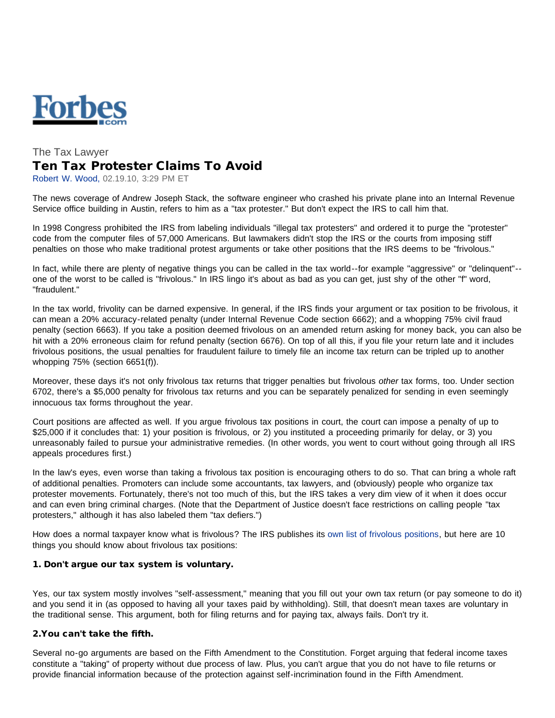

# The Tax Lawyer Ten Tax Protester Claims To Avoid

Robert W. Wood, 02.19.10, 3:29 PM ET

The news coverage of Andrew Joseph Stack, the software engineer who crashed his private plane into an Internal Revenue Service office building in Austin, refers to him as a "tax protester." But don't expect the IRS to call him that.

In 1998 Congress prohibited the IRS from labeling individuals "illegal tax protesters" and ordered it to purge the "protester" code from the computer files of 57,000 Americans. But lawmakers didn't stop the IRS or the courts from imposing stiff penalties on those who make traditional protest arguments or take other positions that the IRS deems to be "frivolous."

In fact, while there are plenty of negative things you can be called in the tax world--for example "aggressive" or "delinquent"- one of the worst to be called is "frivolous." In IRS lingo it's about as bad as you can get, just shy of the other "f" word, "fraudulent."

In the tax world, frivolity can be darned expensive. In general, if the IRS finds your argument or tax position to be frivolous, it can mean a 20% accuracy-related penalty (under Internal Revenue Code section 6662); and a whopping 75% civil fraud penalty (section 6663). If you take a position deemed frivolous on an amended return asking for money back, you can also be hit with a 20% erroneous claim for refund penalty (section 6676). On top of all this, if you file your return late and it includes frivolous positions, the usual penalties for fraudulent failure to timely file an income tax return can be tripled up to another whopping 75% (section 6651(f)).

Moreover, these days it's not only frivolous tax returns that trigger penalties but frivolous *other* tax forms, too. Under section 6702, there's a \$5,000 penalty for frivolous tax returns and you can be separately penalized for sending in even seemingly innocuous tax forms throughout the year.

Court positions are affected as well. If you argue frivolous tax positions in court, the court can impose a penalty of up to \$25,000 if it concludes that: 1) your position is frivolous, or 2) you instituted a proceeding primarily for delay, or 3) you unreasonably failed to pursue your administrative remedies. (In other words, you went to court without going through all IRS appeals procedures first.)

In the law's eyes, even worse than taking a frivolous tax position is encouraging others to do so. That can bring a whole raft of additional penalties. Promoters can include some accountants, tax lawyers, and (obviously) people who organize tax protester movements. Fortunately, there's not too much of this, but the IRS takes a very dim view of it when it does occur and can even bring criminal charges. (Note that the Department of Justice doesn't face restrictions on calling people "tax protesters," although it has also labeled them "tax defiers.")

How does a normal taxpayer know what is frivolous? The IRS publishes its [own list of frivolous positions,](http://www.irs.gov/pub/irs-utl/friv_tax.pdf,) but here are 10 things you should know about frivolous tax positions:

## 1. Don't argue our tax system is voluntary.

Yes, our tax system mostly involves "self-assessment," meaning that you fill out your own tax return (or pay someone to do it) and you send it in (as opposed to having all your taxes paid by withholding). Still, that doesn't mean taxes are voluntary in the traditional sense. This argument, both for filing returns and for paying tax, always fails. Don't try it.

#### 2.You can't take the fifth.

Several no-go arguments are based on the Fifth Amendment to the Constitution. Forget arguing that federal income taxes constitute a "taking" of property without due process of law. Plus, you can't argue that you do not have to file returns or provide financial information because of the protection against self-incrimination found in the Fifth Amendment.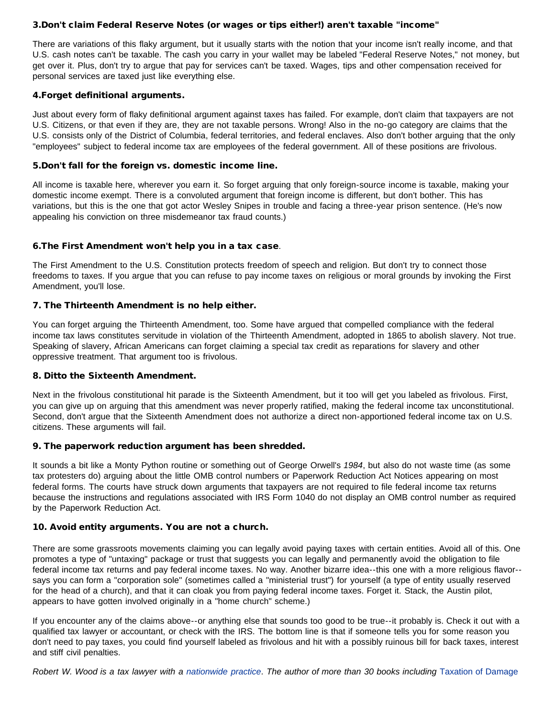# 3.Don't claim Federal Reserve Notes (or wages or tips either!) aren't taxable "income"

There are variations of this flaky argument, but it usually starts with the notion that your income isn't really income, and that U.S. cash notes can't be taxable. The cash you carry in your wallet may be labeled "Federal Reserve Notes," not money, but get over it. Plus, don't try to argue that pay for services can't be taxed. Wages, tips and other compensation received for personal services are taxed just like everything else.

## 4.Forget definitional arguments.

Just about every form of flaky definitional argument against taxes has failed. For example, don't claim that taxpayers are not U.S. Citizens, or that even if they are, they are not taxable persons. Wrong! Also in the no-go category are claims that the U.S. consists only of the District of Columbia, federal territories, and federal enclaves. Also don't bother arguing that the only "employees" subject to federal income tax are employees of the federal government. All of these positions are frivolous.

#### 5.Don't fall for the foreign vs. domestic income line.

All income is taxable here, wherever you earn it. So forget arguing that only foreign-source income is taxable, making your domestic income exempt. There is a convoluted argument that foreign income is different, but don't bother. This has variations, but this is the one that got actor Wesley Snipes in trouble and facing a three-year prison sentence. (He's now appealing his conviction on three misdemeanor tax fraud counts.)

## 6.The First Amendment won't help you in a tax case.

The First Amendment to the U.S. Constitution protects freedom of speech and religion. But don't try to connect those freedoms to taxes. If you argue that you can refuse to pay income taxes on religious or moral grounds by invoking the First Amendment, you'll lose.

## 7. The Thirteenth Amendment is no help either.

You can forget arguing the Thirteenth Amendment, too. Some have argued that compelled compliance with the federal income tax laws constitutes servitude in violation of the Thirteenth Amendment, adopted in 1865 to abolish slavery. Not true. Speaking of slavery, African Americans can forget claiming a special tax credit as reparations for slavery and other oppressive treatment. That argument too is frivolous.

## 8. Ditto the Sixteenth Amendment.

Next in the frivolous constitutional hit parade is the Sixteenth Amendment, but it too will get you labeled as frivolous. First, you can give up on arguing that this amendment was never properly ratified, making the federal income tax unconstitutional. Second, don't argue that the Sixteenth Amendment does not authorize a direct non-apportioned federal income tax on U.S. citizens. These arguments will fail.

## 9. The paperwork reduction argument has been shredded.

It sounds a bit like a Monty Python routine or something out of George Orwell's *1984*, but also do not waste time (as some tax protesters do) arguing about the little OMB control numbers or Paperwork Reduction Act Notices appearing on most federal forms. The courts have struck down arguments that taxpayers are not required to file federal income tax returns because the instructions and regulations associated with IRS Form 1040 do not display an OMB control number as required by the Paperwork Reduction Act.

#### 10. Avoid entity arguments. You are not a church.

There are some grassroots movements claiming you can legally avoid paying taxes with certain entities. Avoid all of this. One promotes a type of "untaxing" package or trust that suggests you can legally and permanently avoid the obligation to file federal income tax returns and pay federal income taxes. No way. Another bizarre idea--this one with a more religious flavor- says you can form a "corporation sole" (sometimes called a "ministerial trust") for yourself (a type of entity usually reserved for the head of a church), and that it can cloak you from paying federal income taxes. Forget it. Stack, the Austin pilot, appears to have gotten involved originally in a "home church" scheme.)

If you encounter any of the claims above--or anything else that sounds too good to be true--it probably is. Check it out with a qualified tax lawyer or accountant, or check with the IRS. The bottom line is that if someone tells you for some reason you don't need to pay taxes, you could find yourself labeled as frivolous and hit with a possibly ruinous bill for back taxes, interest and stiff civil penalties.

*Robert W. Wood is a tax lawyer with a nationwide practice. The author of more than 30 books including Taxation of Damage*